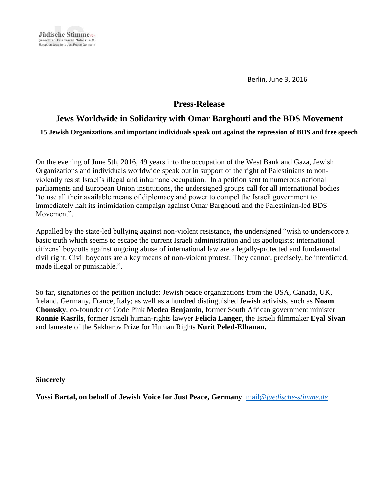

Berlin, June 3, 2016

# **Press-Release**

# **Jews Worldwide in Solidarity with Omar Barghouti and the BDS Movement**

**15 Jewish Organizations and important individuals speak out against the repression of BDS and free speech** 

On the evening of June 5th, 2016, 49 years into the occupation of the West Bank and Gaza, Jewish Organizations and individuals worldwide speak out in support of the right of Palestinians to nonviolently resist Israel's illegal and inhumane occupation. In a petition sent to numerous national parliaments and European Union institutions, the undersigned groups call for all international bodies "to use all their available means of diplomacy and power to compel the Israeli government to immediately halt its intimidation campaign against Omar Barghouti and the Palestinian-led BDS Movement".

Appalled by the state-led bullying against non-violent resistance, the undersigned "wish to underscore a basic truth which seems to escape the current Israeli administration and its apologists: international citizens' boycotts against ongoing abuse of international law are a legally-protected and fundamental civil right. Civil boycotts are a key means of non-violent protest. They cannot, precisely, be interdicted, made illegal or punishable.".

So far, signatories of the petition include: Jewish peace organizations from the USA, Canada, UK, Ireland, Germany, France, Italy; as well as a hundred distinguished Jewish activists, such as **Noam Chomsky**, co-founder of Code Pink **Medea Benjamin**, former South African government minister **Ronnie Kasrils**, former Israeli human-rights lawyer **Felicia Langer**, the Israeli filmmaker **Eyal Sivan** and laureate of the Sakharov Prize for Human Rights **Nurit Peled-Elhanan.**

**Sincerely**

**Yossi Bartal, on behalf of Jewish Voice for Just Peace, Germany** mail@*[juedische](mailto:mail@juedische-stimme.de)*-*stimme*.*de*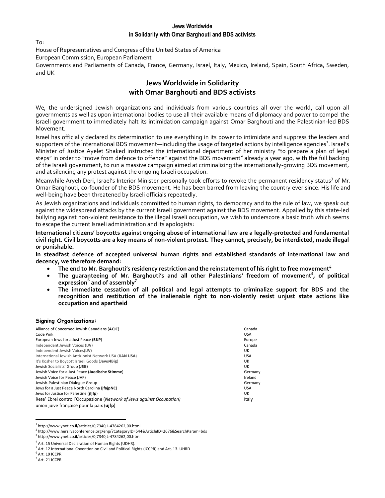$T_{\Omega}$ .

House of Representatives and Congress of the United States of America

European Commission, European Parliament

Governments and Parliaments of Canada, France, Germany, Israel, Italy, Mexico, Ireland, Spain, South Africa, Sweden, and UK

## **Jews Worldwide in Solidarity with Omar Barghouti and BDS activists**

We, the undersigned Jewish organizations and individuals from various countries all over the world, call upon all governments as well as upon international bodies to use all their available means of diplomacy and power to compel the Israeli government to immediately halt its intimidation campaign against Omar Barghouti and the Palestinian-led BDS Movement.

Israel has officially declared its determination to use everything in its power to intimidate and suppress the leaders and supporters of the international BDS movement—including the usage of targeted actions by intelligence agencies $^1$ . Israel's Minister of Justice Ayelet Shaked instructed the international department of her ministry "to prepare a plan of legal steps" in order to "move from defence to offence" against the BDS movement<sup>2</sup> already a year ago, with the full backing of the Israeli government, to run a massive campaign aimed at criminalizing the internationally-growing BDS movement, and at silencing any protest against the ongoing Israeli occupation.

Meanwhile Aryeh Deri, Israel's Interior Minister personally took efforts to revoke the permanent residency status<sup>3</sup> of Mr. Omar Barghouti, co-founder of the BDS movement. He has been barred from leaving the country ever since. His life and well-being have been threatened by Israeli officials repeatedly.

As Jewish organizations and individuals committed to human rights, to democracy and to the rule of law, we speak out against the widespread attacks by the current Israeli government against the BDS movement. Appalled by this state-led bullying against non-violent resistance to the illegal Israeli occupation, we wish to underscore a basic truth which seems to escape the current Israeli administration and its apologists:

**International citizens' boycotts against ongoing abuse of international law are a legally-protected and fundamental civil right. Civil boycotts are a key means of non-violent protest. They cannot, precisely, be interdicted, made illegal or punishable.**

**In steadfast defence of accepted universal human rights and established standards of international law and decency, we therefore demand:**

- **The end to Mr. Barghouti's residency restriction and the reinstatement of his right to free movement<sup>4</sup>**
- **The guaranteeing of Mr. Barghouti's and all other Palestinians' freedom of movement<sup>5</sup> , of political expression<sup>6</sup> and of assembly<sup>7</sup>**
- **The immediate cessation of all political and legal attempts to criminalize support for BDS and the recognition and restitution of the inalienable right to non-violently resist unjust state actions like occupation and apartheid**

#### **Signing Organizations:**

| Alliance of Concerned Jewish Canadians (ACJC)                         | Canada     |
|-----------------------------------------------------------------------|------------|
| Code Pink                                                             | <b>USA</b> |
| European Jews for a Just Peace (EJJP)                                 | Europe     |
| Independent Jewish Voices (IJV)                                       | Canada     |
| Independent Jewish Voices(IJV)                                        | UK         |
| International Jewish Antizionist Network USA (IJAN USA)               | <b>USA</b> |
| It's Kosher to Boycott Israeli Goods (Jews4Big)                       | UK         |
| Jewish Socialists' Group (JSG)                                        | UK         |
| Jewish Voice for a Just Peace (Juedische Stimme)                      | Germany    |
| Jewish Voice for Peace (JVP)                                          | Ireland    |
| Jewish-Palestinian Dialogue Group                                     | Germany    |
| Jews for a Just Peace North Carolina ( <i>ifajpNC</i> )               | <b>USA</b> |
| Jews for Justice for Palestine ( <i>ififp</i> )                       | UK         |
| Rete' Ebrei contro l'Occupazione (Network of Jews against Occupation) | Italy      |
| union juive française pour la paix (uifp)                             |            |

 $\overline{a}$  $1$ http://www.ynet.co.il/articles/0,7340,L-4784262,00.html

3 http://www.ynet.co.il/articles/0,7340,L-4784262,00.html

<sup>&</sup>lt;sup>2</sup> http://www.herzliyaconference.org/eng/?CategoryID=544&ArticleID=2676&SearchParam=bds

<sup>&</sup>lt;sup>4</sup> Art. 15 Universal Declaration of Human Rights (UDHR).

<sup>&</sup>lt;sup>5</sup> Art. 12 International Covention on Civil and Political Rights (ICCPR) and Art. 13. UHRD

 $^6$  Art. 19 ICCPR

 $<sup>7</sup>$  Art. 21 ICCPR</sup>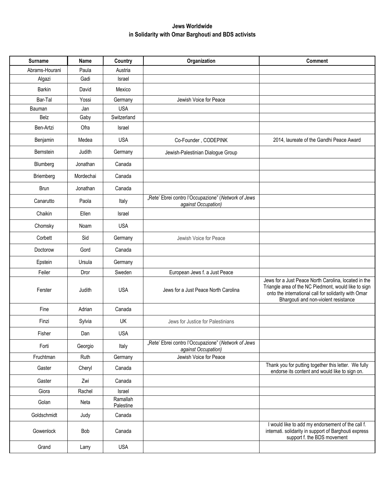| <b>Surname</b> | Name      | Country               | Organization                                                               | <b>Comment</b>                                                                                                                                                                                               |
|----------------|-----------|-----------------------|----------------------------------------------------------------------------|--------------------------------------------------------------------------------------------------------------------------------------------------------------------------------------------------------------|
| Abrams-Hourani | Paula     | Austria               |                                                                            |                                                                                                                                                                                                              |
| Algazi         | Gadi      | Israel                |                                                                            |                                                                                                                                                                                                              |
| <b>Barkin</b>  | David     | Mexico                |                                                                            |                                                                                                                                                                                                              |
| Bar-Tal        | Yossi     | Germany               | Jewish Voice for Peace                                                     |                                                                                                                                                                                                              |
| Bauman         | Jan       | <b>USA</b>            |                                                                            |                                                                                                                                                                                                              |
| Belz           | Gaby      | Switzerland           |                                                                            |                                                                                                                                                                                                              |
| Ben-Artzi      | Ofra      | <b>Israel</b>         |                                                                            |                                                                                                                                                                                                              |
| Benjamin       | Medea     | <b>USA</b>            | Co-Founder, CODEPINK                                                       | 2014, laureate of the Gandhi Peace Award                                                                                                                                                                     |
| Bernstein      | Judith    | Germany               | Jewish-Palestinian Dialogue Group                                          |                                                                                                                                                                                                              |
| Blumberg       | Jonathan  | Canada                |                                                                            |                                                                                                                                                                                                              |
| Briemberg      | Mordechai | Canada                |                                                                            |                                                                                                                                                                                                              |
| <b>Brun</b>    | Jonathan  | Canada                |                                                                            |                                                                                                                                                                                                              |
| Canarutto      | Paola     | Italy                 | "Rete' Ebrei contro l'Occupazione" (Network of Jews<br>against Occupation) |                                                                                                                                                                                                              |
| Chaikin        | Ellen     | Israel                |                                                                            |                                                                                                                                                                                                              |
| Chomsky        | Noam      | <b>USA</b>            |                                                                            |                                                                                                                                                                                                              |
| Corbett        | Sid       | Germany               | Jewish Voice for Peace                                                     |                                                                                                                                                                                                              |
| Doctorow       | Gord      | Canada                |                                                                            |                                                                                                                                                                                                              |
| Epstein        | Ursula    | Germany               |                                                                            |                                                                                                                                                                                                              |
| Feiler         | Dror      | Sweden                | European Jews f. a Just Peace                                              |                                                                                                                                                                                                              |
| Ferster        | Judith    | <b>USA</b>            | Jews for a Just Peace North Carolina                                       | Jews for a Just Peace North Carolina, located in the<br>Triangle area of the NC Piedmont, would like to sign<br>onto the international call for solidarity with Omar<br>Bhargouti and non-violent resistance |
| Fine           | Adrian    | Canada                |                                                                            |                                                                                                                                                                                                              |
| Finzi          | Sylvia    | UK                    | Jews for Justice for Palestinians                                          |                                                                                                                                                                                                              |
| Fisher         | Dan       | <b>USA</b>            |                                                                            |                                                                                                                                                                                                              |
| Forti          | Georgio   | Italy                 | "Rete' Ebrei contro l'Occupazione" (Network of Jews<br>against Occupation) |                                                                                                                                                                                                              |
| Fruchtman      | Ruth      | Germany               | Jewish Voice for Peace                                                     |                                                                                                                                                                                                              |
| Gaster         | Cheryl    | Canada                |                                                                            | Thank you for putting together this letter. We fully<br>endorse its content and would like to sign on.                                                                                                       |
| Gaster         | Zwi       | Canada                |                                                                            |                                                                                                                                                                                                              |
| Giora          | Rachel    | Israel                |                                                                            |                                                                                                                                                                                                              |
| Golan          | Neta      | Ramallah<br>Palestine |                                                                            |                                                                                                                                                                                                              |
| Goldschmidt    | Judy      | Canada                |                                                                            |                                                                                                                                                                                                              |
| Gowenlock      | Bob       | Canada                |                                                                            | I would like to add my endorsement of the call f.<br>internati. solidarity in support of Barghouti express<br>support f. the BDS movement                                                                    |
| Grand          | Larry     | <b>USA</b>            |                                                                            |                                                                                                                                                                                                              |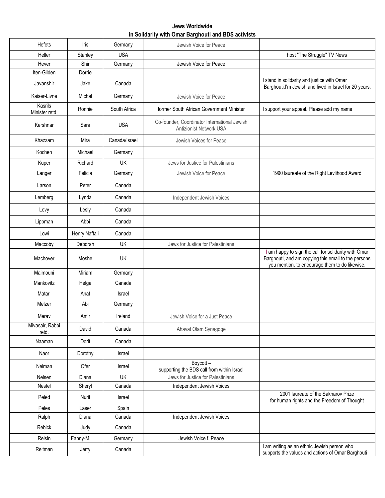| <b>Hefets</b>             | Iris          | Germany       | Jewish Voice for Peace                                                  |                                                                                                                                                               |
|---------------------------|---------------|---------------|-------------------------------------------------------------------------|---------------------------------------------------------------------------------------------------------------------------------------------------------------|
| Heller                    | Stanley       | <b>USA</b>    |                                                                         | host "The Struggle" TV News                                                                                                                                   |
| Hever                     | Shir          | Germany       | Jewish Voice for Peace                                                  |                                                                                                                                                               |
| Iten-Gilden               | Dorrie        |               |                                                                         |                                                                                                                                                               |
| Javanshir                 | Jake          | Canada        |                                                                         | I stand in solidarity and justice with Omar<br>Barghouti.I'm Jewish and lived in Israel for 20 years.                                                         |
| Kaiser-Livne              | Michal        | Germany       | Jewish Voice for Peace                                                  |                                                                                                                                                               |
| Kasrils<br>Minister retd. | Ronnie        | South Africa  | former South African Government Minister                                | I support your appeal. Please add my name                                                                                                                     |
| Kershnar                  | Sara          | <b>USA</b>    | Co-founder, Coordinator International Jewish<br>Antizionist Network USA |                                                                                                                                                               |
| Khazzam                   | Mira          | Canada/Israel | Jewish Voices for Peace                                                 |                                                                                                                                                               |
| Kochen                    | Michael       | Germany       |                                                                         |                                                                                                                                                               |
| Kuper                     | Richard       | UK            | Jews for Justice for Palestinians                                       |                                                                                                                                                               |
| Langer                    | Felicia       | Germany       | Jewish Voice for Peace                                                  | 1990 laureate of the Right Levlihood Award                                                                                                                    |
| Larson                    | Peter         | Canada        |                                                                         |                                                                                                                                                               |
| Lemberg                   | Lynda         | Canada        | Independent Jewish Voices                                               |                                                                                                                                                               |
| Levy                      | Lesly         | Canada        |                                                                         |                                                                                                                                                               |
| Lippman                   | Abbi          | Canada        |                                                                         |                                                                                                                                                               |
| Lowi                      | Henry Naftali | Canada        |                                                                         |                                                                                                                                                               |
| Maccoby                   | Deborah       | UK            | Jews for Justice for Palestinians                                       |                                                                                                                                                               |
| Machover                  | Moshe         | UK            |                                                                         | I am happy to sign the call for solidarity with Omar<br>Barghouti, and am copying this email to the persons<br>you mention, to encourage them to do likewise. |
| Maimouni                  | Miriam        | Germany       |                                                                         |                                                                                                                                                               |
| Mankovitz                 | Helga         | Canada        |                                                                         |                                                                                                                                                               |
| Matar                     | Anat          | Israel        |                                                                         |                                                                                                                                                               |
| Melzer                    | Abi           | Germany       |                                                                         |                                                                                                                                                               |
| Merav                     | Amir          | Ireland       | Jewish Voice for a Just Peace                                           |                                                                                                                                                               |
| Mivasair, Rabbi<br>retd.  | David         | Canada        | Ahavat Olam Synagoge                                                    |                                                                                                                                                               |
| Naaman                    | Dorit         | Canada        |                                                                         |                                                                                                                                                               |
| Naor                      | Dorothy       | Israel        |                                                                         |                                                                                                                                                               |
| Neiman                    | Ofer          | Israel        | Boycott-<br>supporting the BDS call from within Israel                  |                                                                                                                                                               |
| Nelsen                    | Diana         | UK            | Jews for Justice for Palestinians                                       |                                                                                                                                                               |
| Nestel                    | Sheryl        | Canada        | Independent Jewish Voices                                               |                                                                                                                                                               |
| Peled                     | Nurit         | Israel        |                                                                         | 2001 laureate of the Sakharov Prize<br>for human rights and the Freedom of Thought                                                                            |
| Peles                     | Laser         | Spain         |                                                                         |                                                                                                                                                               |
| Ralph                     | Diana         | Canada        | Independent Jewish Voices                                               |                                                                                                                                                               |
| Rebick                    | Judy          | Canada        |                                                                         |                                                                                                                                                               |
| Reisin                    | Fanny-M.      | Germany       | Jewish Voice f. Peace                                                   |                                                                                                                                                               |
| Reitman                   | Jerry         | Canada        |                                                                         | I am writing as an ethnic Jewish person who<br>supports the values and actions of Omar Barghouti                                                              |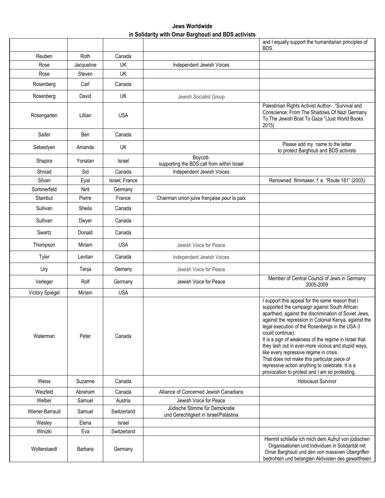|                        |                |                |                                                                         | and I equally support the humanitarian principles of<br>BDS.                                                                                                                                                                                                                                                                                                                                                                                                                                                                                                                                              |
|------------------------|----------------|----------------|-------------------------------------------------------------------------|-----------------------------------------------------------------------------------------------------------------------------------------------------------------------------------------------------------------------------------------------------------------------------------------------------------------------------------------------------------------------------------------------------------------------------------------------------------------------------------------------------------------------------------------------------------------------------------------------------------|
| Reuben                 | Roth           | Canada         |                                                                         |                                                                                                                                                                                                                                                                                                                                                                                                                                                                                                                                                                                                           |
| Rose                   | Jacqueline     | UK             | Independent Jewish Voices                                               |                                                                                                                                                                                                                                                                                                                                                                                                                                                                                                                                                                                                           |
| Rose                   | Steven         | UK             |                                                                         |                                                                                                                                                                                                                                                                                                                                                                                                                                                                                                                                                                                                           |
| Rosenberg              | Carl           | Canada         |                                                                         |                                                                                                                                                                                                                                                                                                                                                                                                                                                                                                                                                                                                           |
| Rosenberg              | David          | UK             | Jewish Socialist Group                                                  |                                                                                                                                                                                                                                                                                                                                                                                                                                                                                                                                                                                                           |
| Rosengarten            | Lillian        | <b>USA</b>     |                                                                         | Palestinian Rights Activist Author- "Survival and<br>Conscience: From The Shadows Of Nazi Germany<br>To The Jewish Boat To Gaza "(Just World Books<br>2015                                                                                                                                                                                                                                                                                                                                                                                                                                                |
| Saifer                 | Ben            | Canada         |                                                                         |                                                                                                                                                                                                                                                                                                                                                                                                                                                                                                                                                                                                           |
| Sebestyen              | Amanda         | UK             |                                                                         | Please add my name to the letter<br>to protect Barghouti and BDS activists                                                                                                                                                                                                                                                                                                                                                                                                                                                                                                                                |
| Shapira                | Yonatan        | Israel         | Boycott-<br>supporting the BDS call from within Israel                  |                                                                                                                                                                                                                                                                                                                                                                                                                                                                                                                                                                                                           |
| Shniad                 | Sid            | Canada         | Independent Jewish Voices                                               |                                                                                                                                                                                                                                                                                                                                                                                                                                                                                                                                                                                                           |
| Silvan                 | Eyal           | Israel, France |                                                                         | Renowned filmmaker, f. e. "Route 181" (2003)                                                                                                                                                                                                                                                                                                                                                                                                                                                                                                                                                              |
| Sommerfeld             | Nirit          | Germany        |                                                                         |                                                                                                                                                                                                                                                                                                                                                                                                                                                                                                                                                                                                           |
| Stambul                | Pierre         | France         | Chairman union juive française pour la paix                             |                                                                                                                                                                                                                                                                                                                                                                                                                                                                                                                                                                                                           |
| Sullivan               | Sheila         | Canada         |                                                                         |                                                                                                                                                                                                                                                                                                                                                                                                                                                                                                                                                                                                           |
| Sullivan               | Dwyer          | Canada         |                                                                         |                                                                                                                                                                                                                                                                                                                                                                                                                                                                                                                                                                                                           |
| Swartz                 | Donald         | Canada         |                                                                         |                                                                                                                                                                                                                                                                                                                                                                                                                                                                                                                                                                                                           |
| Thompson               | Miriam         | <b>USA</b>     | Jewish Voice for Peace                                                  |                                                                                                                                                                                                                                                                                                                                                                                                                                                                                                                                                                                                           |
| Tyler                  | Levitan        | Canada         | Independent Jewish Voices                                               |                                                                                                                                                                                                                                                                                                                                                                                                                                                                                                                                                                                                           |
| Ury                    | Tanja          | Gemany         | Jewish Voice for Peace                                                  |                                                                                                                                                                                                                                                                                                                                                                                                                                                                                                                                                                                                           |
| Verleger               | Rolf           | Germany        | Jewish Voice for Peace                                                  | Member of Central Council of Jews in Germany<br>2005-2009                                                                                                                                                                                                                                                                                                                                                                                                                                                                                                                                                 |
| <b>Victory Spiegel</b> | Miriam         | <b>USA</b>     |                                                                         |                                                                                                                                                                                                                                                                                                                                                                                                                                                                                                                                                                                                           |
| Waterman               | Peter          | Canada         |                                                                         | I support this appeal for the same reason that I<br>supported the campaign against South African<br>apartheid, against the discrimination of Soviet Jews,<br>against the repression in Colonial Kenya, against the<br>legal execution of the Rosenbergs in the USA (I<br>could continue).<br>It is a sign of weakness of the regime in Israel that<br>they lash out in ever-more vicious and stupid ways,<br>like every repressive regime in crisis.<br>That does not make this particular piece of<br>repressive action anything to celebrate. It is a<br>provocation to protest and I am so protesting. |
| Weiss                  | Suzanne        | Canada         |                                                                         | <b>Holocaust Survivor</b>                                                                                                                                                                                                                                                                                                                                                                                                                                                                                                                                                                                 |
| Weizfeld               | Abraham        | Canada         | Alliance of Concerned Jewish Canadians                                  |                                                                                                                                                                                                                                                                                                                                                                                                                                                                                                                                                                                                           |
| Welber                 | Samuel         | Austria        | Jewish Voice for Peace                                                  |                                                                                                                                                                                                                                                                                                                                                                                                                                                                                                                                                                                                           |
| Wiener-Barraud         | Samuel         | Switzerland    | Jüdische Stimme für Demokratie<br>und Gerechtigkeit in Israel/Palästina |                                                                                                                                                                                                                                                                                                                                                                                                                                                                                                                                                                                                           |
| Wesley                 | Elena          | Israel         |                                                                         |                                                                                                                                                                                                                                                                                                                                                                                                                                                                                                                                                                                                           |
| Winizki                | Eva            | Switzerland    |                                                                         |                                                                                                                                                                                                                                                                                                                                                                                                                                                                                                                                                                                                           |
| Wolterstaedt           | <b>Barbara</b> | Germany        |                                                                         | Hiermit schließe ich mich dem Aufruf von jüdischen<br>Organisationen und Individuen in Solidarität mit<br>Omar Barghouti und den von massiven Übergriffen<br>bedrohten und belangten Aktivisten des gewaltfreien                                                                                                                                                                                                                                                                                                                                                                                          |